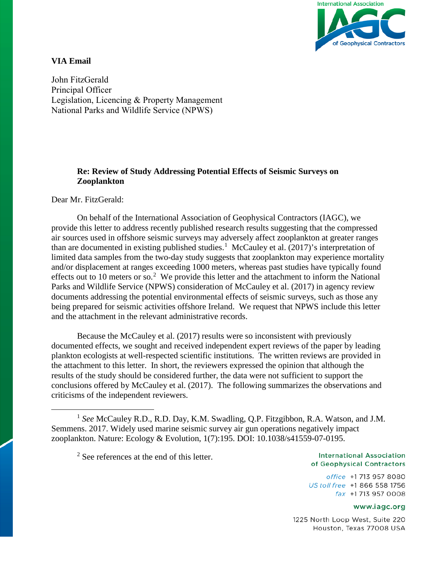

# **VIA Email**

 National Parks and Wildlife Service (NPWS)John FitzGerald Principal Officer Legislation, Licencing & Property Management

# **Re: Review of Study Addressing Potential Effects of Seismic Surveys on Zooplankton**

Dear Mr. FitzGerald:

On behalf of the International Association of Geophysical Contractors (IAGC), we provide this letter to address recently published research results suggesting that the compressed air sources used in offshore seismic surveys may adversely affect zooplankton at greater ranges than are documented in existing published studies.<sup>[1](#page-0-0)</sup> McCauley et al. (2017)'s interpretation of limited data samples from the two-day study suggests that zooplankton may experience mortality and/or displacement at ranges exceeding 1000 meters, whereas past studies have typically found effects out to 10 meters or so.<sup>[2](#page-0-1)</sup> We provide this letter and the attachment to inform the National Parks and Wildlife Service (NPWS) consideration of McCauley et al. (2017) in agency review documents addressing the potential environmental effects of seismic surveys, such as those any being prepared for seismic activities offshore Ireland. We request that NPWS include this letter and the attachment in the relevant administrative records.

Because the McCauley et al. (2017) results were so inconsistent with previously documented effects, we sought and received independent expert reviews of the paper by leading plankton ecologists at well-respected scientific institutions. The written reviews are provided in the attachment to this letter. In short, the reviewers expressed the opinion that although the results of the study should be considered further, the data were not sufficient to support the conclusions offered by McCauley et al. (2017). The following summarizes the observations and criticisms of the independent reviewers.

 $2$  See references at the end of this letter.

#### **International Association** of Geophysical Contractors

office +1 713 957 8080 US toll free +1 866 558 1756 fax +1713 957 0008

#### www.iagc.org

1225 North Loop West, Suite 220 Houston, Texas 77008 USA

<span id="page-0-1"></span><span id="page-0-0"></span> <sup>1</sup> *See* McCauley R.D., R.D. Day, K.M. Swadling, Q.P. Fitzgibbon, R.A. Watson, and J.M. Semmens. 2017. Widely used marine seismic survey air gun operations negatively impact zooplankton. Nature: Ecology & Evolution, 1(7):195. DOI: 10.1038/s41559-07-0195.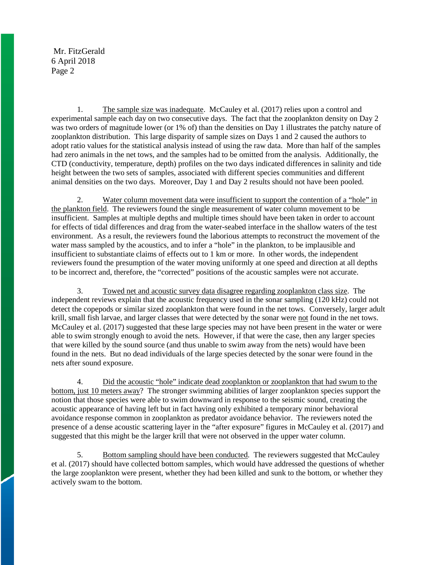1. The sample size was inadequate. McCauley et al. (2017) relies upon a control and experimental sample each day on two consecutive days. The fact that the zooplankton density on Day 2 was two orders of magnitude lower (or 1% of) than the densities on Day 1 illustrates the patchy nature of zooplankton distribution. This large disparity of sample sizes on Days 1 and 2 caused the authors to adopt ratio values for the statistical analysis instead of using the raw data. More than half of the samples had zero animals in the net tows, and the samples had to be omitted from the analysis. Additionally, the CTD (conductivity, temperature, depth) profiles on the two days indicated differences in salinity and tide height between the two sets of samples, associated with different species communities and different animal densities on the two days. Moreover, Day 1 and Day 2 results should not have been pooled.

2. Water column movement data were insufficient to support the contention of a "hole" in the plankton field. The reviewers found the single measurement of water column movement to be insufficient. Samples at multiple depths and multiple times should have been taken in order to account for effects of tidal differences and drag from the water-seabed interface in the shallow waters of the test environment. As a result, the reviewers found the laborious attempts to reconstruct the movement of the water mass sampled by the acoustics, and to infer a "hole" in the plankton, to be implausible and insufficient to substantiate claims of effects out to 1 km or more. In other words, the independent reviewers found the presumption of the water moving uniformly at one speed and direction at all depths to be incorrect and, therefore, the "corrected" positions of the acoustic samples were not accurate.

3. Towed net and acoustic survey data disagree regarding zooplankton class size. The independent reviews explain that the acoustic frequency used in the sonar sampling (120 kHz) could not detect the copepods or similar sized zooplankton that were found in the net tows. Conversely, larger adult krill, small fish larvae, and larger classes that were detected by the sonar were not found in the net tows. McCauley et al. (2017) suggested that these large species may not have been present in the water or were able to swim strongly enough to avoid the nets. However, if that were the case, then any larger species that were killed by the sound source (and thus unable to swim away from the nets) would have been found in the nets. But no dead individuals of the large species detected by the sonar were found in the nets after sound exposure.

4. Did the acoustic "hole" indicate dead zooplankton or zooplankton that had swum to the bottom, just 10 meters away? The stronger swimming abilities of larger zooplankton species support the notion that those species were able to swim downward in response to the seismic sound, creating the acoustic appearance of having left but in fact having only exhibited a temporary minor behavioral avoidance response common in zooplankton as predator avoidance behavior. The reviewers noted the presence of a dense acoustic scattering layer in the "after exposure" figures in McCauley et al. (2017) and suggested that this might be the larger krill that were not observed in the upper water column.

5. Bottom sampling should have been conducted. The reviewers suggested that McCauley et al. (2017) should have collected bottom samples, which would have addressed the questions of whether the large zooplankton were present, whether they had been killed and sunk to the bottom, or whether they actively swam to the bottom.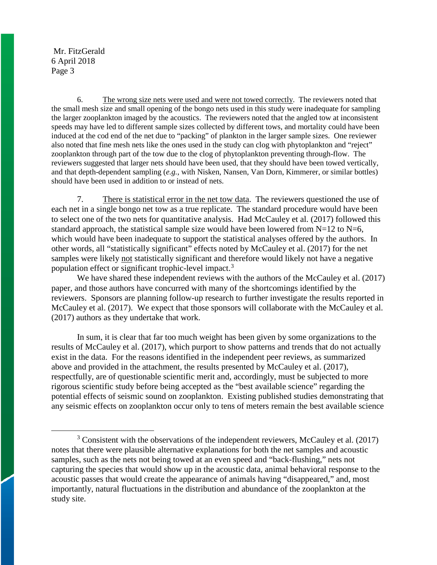6. The wrong size nets were used and were not towed correctly. The reviewers noted that the small mesh size and small opening of the bongo nets used in this study were inadequate for sampling the larger zooplankton imaged by the acoustics. The reviewers noted that the angled tow at inconsistent speeds may have led to different sample sizes collected by different tows, and mortality could have been induced at the cod end of the net due to "packing" of plankton in the larger sample sizes. One reviewer also noted that fine mesh nets like the ones used in the study can clog with phytoplankton and "reject" zooplankton through part of the tow due to the clog of phytoplankton preventing through-flow. The reviewers suggested that larger nets should have been used, that they should have been towed vertically, and that depth-dependent sampling (*e.g.*, with Nisken, Nansen, Van Dorn, Kimmerer, or similar bottles) should have been used in addition to or instead of nets.

7. There is statistical error in the net tow data. The reviewers questioned the use of each net in a single bongo net tow as a true replicate. The standard procedure would have been to select one of the two nets for quantitative analysis. Had McCauley et al. (2017) followed this standard approach, the statistical sample size would have been lowered from  $N=12$  to  $N=6$ , which would have been inadequate to support the statistical analyses offered by the authors. In other words, all "statistically significant" effects noted by McCauley et al. (2017) for the net samples were likely not statistically significant and therefore would likely not have a negative population effect or significant trophic-level impact.<sup>[3](#page-2-0)</sup>

We have shared these independent reviews with the authors of the McCauley et al. (2017) paper, and those authors have concurred with many of the shortcomings identified by the reviewers. Sponsors are planning follow-up research to further investigate the results reported in McCauley et al. (2017). We expect that those sponsors will collaborate with the McCauley et al. (2017) authors as they undertake that work.

In sum, it is clear that far too much weight has been given by some organizations to the results of McCauley et al. (2017), which purport to show patterns and trends that do not actually exist in the data. For the reasons identified in the independent peer reviews, as summarized above and provided in the attachment, the results presented by McCauley et al. (2017), respectfully, are of questionable scientific merit and, accordingly, must be subjected to more rigorous scientific study before being accepted as the "best available science" regarding the potential effects of seismic sound on zooplankton. Existing published studies demonstrating that any seismic effects on zooplankton occur only to tens of meters remain the best available science

<span id="page-2-0"></span> $3$  Consistent with the observations of the independent reviewers, McCauley et al. (2017) notes that there were plausible alternative explanations for both the net samples and acoustic samples, such as the nets not being towed at an even speed and "back-flushing," nets not capturing the species that would show up in the acoustic data, animal behavioral response to the acoustic passes that would create the appearance of animals having "disappeared," and, most importantly, natural fluctuations in the distribution and abundance of the zooplankton at the study site.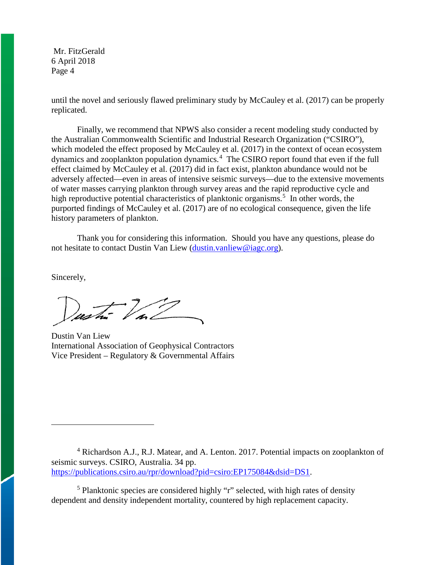until the novel and seriously flawed preliminary study by McCauley et al. (2017) can be properly replicated.

Finally, we recommend that NPWS also consider a recent modeling study conducted by the Australian Commonwealth Scientific and Industrial Research Organization ("CSIRO"), which modeled the effect proposed by McCauley et al. (2017) in the context of ocean ecosystem dynamics and zooplankton population dynamics.<sup>[4](#page-3-0)</sup> The CSIRO report found that even if the full effect claimed by McCauley et al. (2017) did in fact exist, plankton abundance would not be adversely affected—even in areas of intensive seismic surveys—due to the extensive movements of water masses carrying plankton through survey areas and the rapid reproductive cycle and high reproductive potential characteristics of planktonic organisms.<sup>[5](#page-3-1)</sup> In other words, the purported findings of McCauley et al. (2017) are of no ecological consequence, given the life history parameters of plankton.

Thank you for considering this information. Should you have any questions, please do not hesitate to contact Dustin Van Liew [\(dustin.vanliew@iagc.org\)](mailto:dustin.vanliew@iagc.org).

Sincerely,

 $\overline{a}$ 

Dustin Van Liew International Association of Geophysical Contractors Vice President – Regulatory & Governmental Affairs

[https://publications.csiro.au/rpr/download?pid=csiro:EP175084&dsid=DS1.](https://publications.csiro.au/rpr/download?pid=csiro:EP175084&dsid=DS1)

<span id="page-3-1"></span><sup>5</sup> Planktonic species are considered highly "r" selected, with high rates of density dependent and density independent mortality, countered by high replacement capacity.

<span id="page-3-0"></span><sup>4</sup> Richardson A.J., R.J. Matear, and A. Lenton. 2017. Potential impacts on zooplankton of seismic surveys. CSIRO, Australia. 34 pp.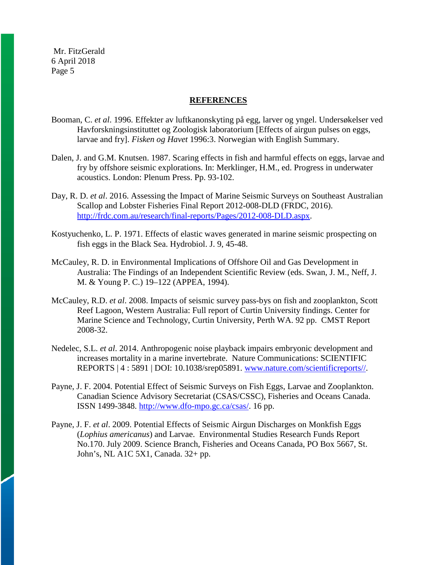#### **REFERENCES**

- Booman, C. *et al*. 1996. Effekter av luftkanonskyting på egg, larver og yngel. Undersøkelser ved Havforskningsinstituttet og Zoologisk laboratorium [Effects of airgun pulses on eggs, larvae and fry]. *Fisken og Havet* 1996:3. Norwegian with English Summary.
- Dalen, J. and G.M. Knutsen. 1987. Scaring effects in fish and harmful effects on eggs, larvae and fry by offshore seismic explorations. In: Merklinger, H.M., ed. Progress in underwater acoustics. London: Plenum Press. Pp. 93-102.
- Day, R. D. *et al*. 2016. Assessing the Impact of Marine Seismic Surveys on Southeast Australian Scallop and Lobster Fisheries Final Report 2012-008-DLD (FRDC, 2016). [http://frdc.com.au/research/final-reports/Pages/2012-008-DLD.aspx.](http://frdc.com.au/research/final-reports/Pages/2012-008-DLD.aspx)
- Kostyuchenko, L. P. 1971. Effects of elastic waves generated in marine seismic prospecting on fish eggs in the Black Sea. Hydrobiol. J. 9, 45-48.
- McCauley, R. D. in Environmental Implications of Offshore Oil and Gas Development in Australia: The Findings of an Independent Scientific Review (eds. Swan, J. M., Neff, J. M. & Young P. C.) 19–122 (APPEA, 1994).
- McCauley, R.D. *et al*. 2008. Impacts of seismic survey pass-bys on fish and zooplankton, Scott Reef Lagoon, Western Australia: Full report of Curtin University findings. Center for Marine Science and Technology, Curtin University, Perth WA. 92 pp. CMST Report 2008-32.
- Nedelec, S.L. *et al*. 2014. Anthropogenic noise playback impairs embryonic development and increases mortality in a marine invertebrate. Nature Communications: SCIENTIFIC REPORTS | 4 : 5891 | DOI: 10.1038/srep05891. [www.nature.com/scientificreports//](http://www.nature.com/scientificreports/).
- Payne, J. F. 2004. Potential Effect of Seismic Surveys on Fish Eggs, Larvae and Zooplankton. Canadian Science Advisory Secretariat (CSAS/CSSC), Fisheries and Oceans Canada. ISSN 1499-3848. [http://www.dfo-mpo.gc.ca/csas/.](http://www.dfo-mpo.gc.ca/csas/) 16 pp.
- Payne, J. F. *et al*. 2009. Potential Effects of Seismic Airgun Discharges on Monkfish Eggs (*Lophius americanus*) and Larvae. Environmental Studies Research Funds Report No.170. July 2009. Science Branch, Fisheries and Oceans Canada, PO Box 5667, St. John's, NL A1C 5X1, Canada. 32+ pp.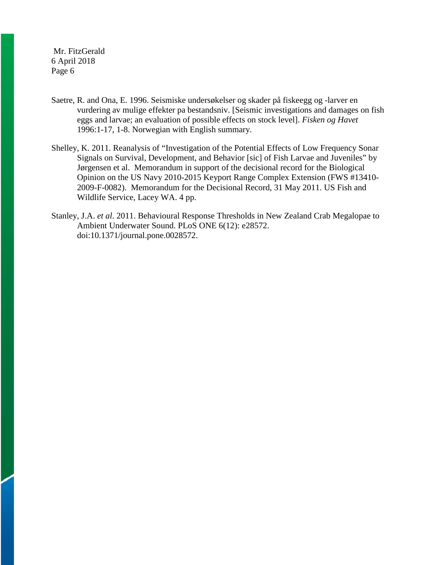- Saetre, R. and Ona, E. 1996. Seismiske undersøkelser og skader på fiskeegg og -larver en vurdering av mulige effekter pa bestandsniv. [Seismic investigations and damages on fish eggs and larvae; an evaluation of possible effects on stock level]. *Fisken og Havet* 1996:1-17, 1-8. Norwegian with English summary.
- Shelley, K. 2011. Reanalysis of "Investigation of the Potential Effects of Low Frequency Sonar Signals on Survival, Development, and Behavior [sic] of Fish Larvae and Juveniles" by Jørgensen et al. Memorandum in support of the decisional record for the Biological Opinion on the US Navy 2010-2015 Keyport Range Complex Extension (FWS #13410- 2009-F-0082). Memorandum for the Decisional Record, 31 May 2011. US Fish and Wildlife Service, Lacey WA. 4 pp.
- Stanley, J.A. *et al*. 2011. Behavioural Response Thresholds in New Zealand Crab Megalopae to Ambient Underwater Sound. PLoS ONE 6(12): e28572. doi:10.1371/journal.pone.0028572.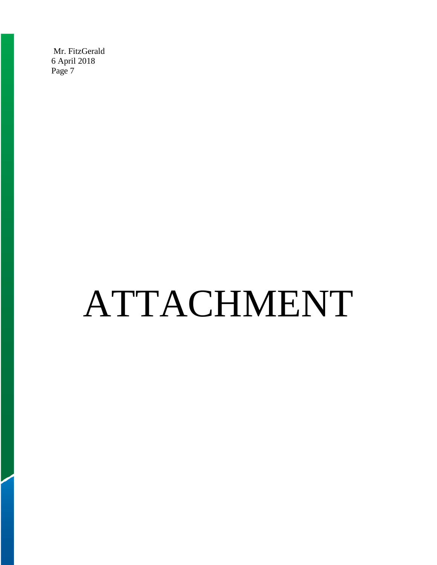# ATTACHMENT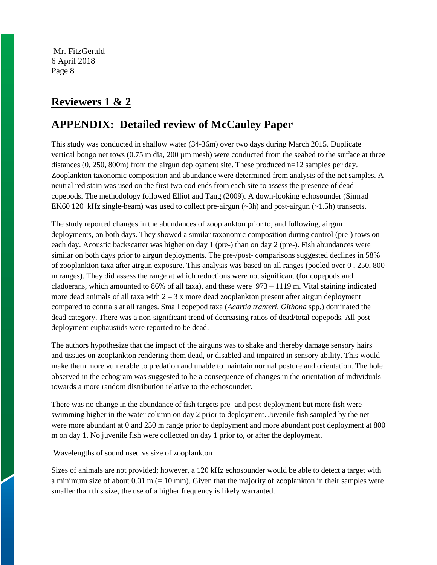# **Reviewers 1 & 2**

# **APPENDIX: Detailed review of McCauley Paper**

This study was conducted in shallow water (34-36m) over two days during March 2015. Duplicate vertical bongo net tows (0.75 m dia, 200 um mesh) were conducted from the seabed to the surface at three distances (0, 250, 800m) from the airgun deployment site. These produced n=12 samples per day. Zooplankton taxonomic composition and abundance were determined from analysis of the net samples. A neutral red stain was used on the first two cod ends from each site to assess the presence of dead copepods. The methodology followed Elliot and Tang (2009). A down-looking echosounder (Simrad EK60 120 kHz single-beam) was used to collect pre-airgun  $(\sim 3h)$  and post-airgun  $(\sim 1.5h)$  transects.

The study reported changes in the abundances of zooplankton prior to, and following, airgun deployments, on both days. They showed a similar taxonomic composition during control (pre-) tows on each day. Acoustic backscatter was higher on day 1 (pre-) than on day 2 (pre-). Fish abundances were similar on both days prior to airgun deployments. The pre-/post- comparisons suggested declines in 58% of zooplankton taxa after airgun exposure. This analysis was based on all ranges (pooled over 0 , 250, 800 m ranges). They did assess the range at which reductions were not significant (for copepods and cladoerans, which amounted to 86% of all taxa), and these were  $973 - 1119$  m. Vital staining indicated more dead animals of all taxa with  $2 - 3x$  more dead zooplankton present after airgun deployment compared to contrals at all ranges. Small copepod taxa (*Acartia tranteri*, *Oithona* spp.) dominated the dead category. There was a non-significant trend of decreasing ratios of dead/total copepods. All postdeployment euphausiids were reported to be dead.

The authors hypothesize that the impact of the airguns was to shake and thereby damage sensory hairs and tissues on zooplankton rendering them dead, or disabled and impaired in sensory ability. This would make them more vulnerable to predation and unable to maintain normal posture and orientation. The hole observed in the echogram was suggested to be a consequence of changes in the orientation of individuals towards a more random distribution relative to the echosounder.

There was no change in the abundance of fish targets pre- and post-deployment but more fish were swimming higher in the water column on day 2 prior to deployment. Juvenile fish sampled by the net were more abundant at 0 and 250 m range prior to deployment and more abundant post deployment at 800 m on day 1. No juvenile fish were collected on day 1 prior to, or after the deployment.

## Wavelengths of sound used vs size of zooplankton

Sizes of animals are not provided; however, a 120 kHz echosounder would be able to detect a target with a minimum size of about  $0.01 \text{ m} (= 10 \text{ mm})$ . Given that the majority of zooplankton in their samples were smaller than this size, the use of a higher frequency is likely warranted.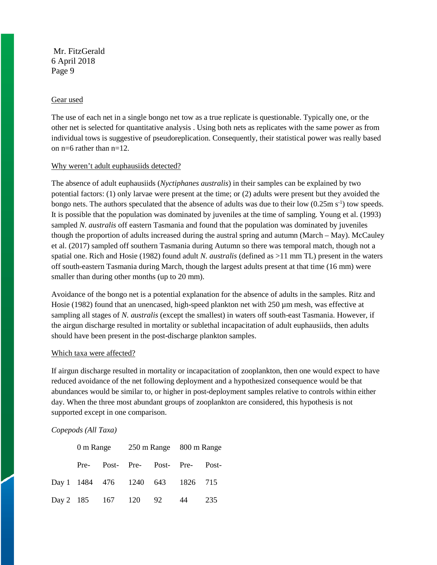#### Gear used

The use of each net in a single bongo net tow as a true replicate is questionable. Typically one, or the other net is selected for quantitative analysis . Using both nets as replicates with the same power as from individual tows is suggestive of pseudoreplication. Consequently, their statistical power was really based on n=6 rather than n=12.

#### Why weren't adult euphausiids detected?

The absence of adult euphausiids (*Nyctiphanes australis*) in their samples can be explained by two potential factors: (1) only larvae were present at the time; or (2) adults were present but they avoided the bongo nets. The authors speculated that the absence of adults was due to their low  $(0.25 \text{m s}^{-1})$  tow speeds. It is possible that the population was dominated by juveniles at the time of sampling. Young et al. (1993) sampled *N. australis* off eastern Tasmania and found that the population was dominated by juveniles though the proportion of adults increased during the austral spring and autumn (March – May). McCauley et al. (2017) sampled off southern Tasmania during Autumn so there was temporal match, though not a spatial one. Rich and Hosie (1982) found adult *N. australis* (defined as >11 mm TL) present in the waters off south-eastern Tasmania during March, though the largest adults present at that time (16 mm) were smaller than during other months (up to 20 mm).

Avoidance of the bongo net is a potential explanation for the absence of adults in the samples. Ritz and Hosie (1982) found that an unencased, high-speed plankton net with 250  $\mu$ m mesh, was effective at sampling all stages of *N. australis* (except the smallest) in waters off south-east Tasmania. However, if the airgun discharge resulted in mortality or sublethal incapacitation of adult euphausiids, then adults should have been present in the post-discharge plankton samples.

## Which taxa were affected?

If airgun discharge resulted in mortality or incapacitation of zooplankton, then one would expect to have reduced avoidance of the net following deployment and a hypothesized consequence would be that abundances would be similar to, or higher in post-deployment samples relative to controls within either day. When the three most abundant groups of zooplankton are considered, this hypothesis is not supported except in one comparison.

## *Copepods (All Taxa)*

|  |  | 0 m Range 250 m Range 800 m Range |                                  |  |     |
|--|--|-----------------------------------|----------------------------------|--|-----|
|  |  |                                   | Pre- Post- Pre- Post- Pre- Post- |  |     |
|  |  |                                   | Day 1 1484 476 1240 643 1826 715 |  |     |
|  |  |                                   | Day 2 185 167 120 92 44          |  | 235 |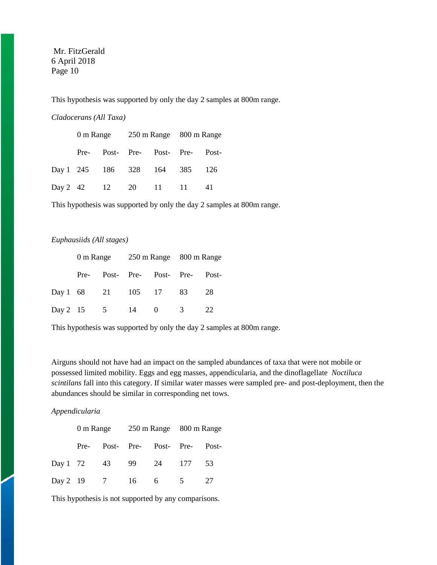This hypothesis was supported by only the day 2 samples at 800m range.

## *Cladocerans (All Taxa)*

|      |  | 0 m Range 250 m Range 800 m Range |  |  |  |
|------|--|-----------------------------------|--|--|--|
| Pre- |  | Post- Pre- Post- Pre- Post-       |  |  |  |
|      |  | Day 1 245 186 328 164 385 126     |  |  |  |
|      |  | Day 2 42 12 20 11 11 41           |  |  |  |

This hypothesis was supported by only the day 2 samples at 800m range.

# *Euphausiids (All stages)*

|  |                   | 0 m Range 250 m Range 800 m Range |  |                                  |      |
|--|-------------------|-----------------------------------|--|----------------------------------|------|
|  |                   |                                   |  | Pre- Post- Pre- Post- Pre- Post- |      |
|  |                   |                                   |  | Day 1 68 21 105 17 83 28         |      |
|  | Day 2 15 5 14 0 3 |                                   |  |                                  | - 22 |

This hypothesis was supported by only the day 2 samples at 800m range.

Airguns should not have had an impact on the sampled abundances of taxa that were not mobile or possessed limited mobility. Eggs and egg masses, appendicularia, and the dinoflagellate *Noctiluca scintilans* fall into this category. If similar water masses were sampled pre- and post-deployment, then the abundances should be similar in corresponding net tows.

#### *Appendicularia*

|  |  | 0 m Range 250 m Range 800 m Range |  |  |  |
|--|--|-----------------------------------|--|--|--|
|  |  | Pre- Post- Pre- Post- Pre- Post-  |  |  |  |
|  |  | Day 1 72 43 99 24 177 53          |  |  |  |
|  |  | Day 2 19 7 16 6 5 27              |  |  |  |

This hypothesis is not supported by any comparisons.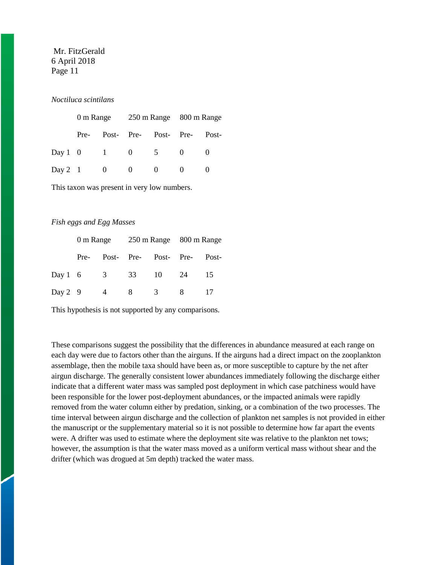## *Noctiluca scintilans*

|      |  | 0 m Range 250 m Range 800 m Range |  |  |  |
|------|--|-----------------------------------|--|--|--|
| Pre- |  | Post- Pre- Post- Pre- Post-       |  |  |  |
|      |  | Day 1 0 1 0 5 0                   |  |  |  |
|      |  | Day 2 1 0 0 0 0 0                 |  |  |  |

This taxon was present in very low numbers.

#### *Fish eggs and Egg Masses*

|  |  | 0 m Range 250 m Range 800 m Range |  |  |  |
|--|--|-----------------------------------|--|--|--|
|  |  | Pre- Post- Pre- Post- Pre- Post-  |  |  |  |
|  |  | Day 1 6 3 33 10 24 15             |  |  |  |
|  |  | Day 2 9 4 8 3 8 17                |  |  |  |

This hypothesis is not supported by any comparisons.

These comparisons suggest the possibility that the differences in abundance measured at each range on each day were due to factors other than the airguns. If the airguns had a direct impact on the zooplankton assemblage, then the mobile taxa should have been as, or more susceptible to capture by the net after airgun discharge. The generally consistent lower abundances immediately following the discharge either indicate that a different water mass was sampled post deployment in which case patchiness would have been responsible for the lower post-deployment abundances, or the impacted animals were rapidly removed from the water column either by predation, sinking, or a combination of the two processes. The time interval between airgun discharge and the collection of plankton net samples is not provided in either the manuscript or the supplementary material so it is not possible to determine how far apart the events were. A drifter was used to estimate where the deployment site was relative to the plankton net tows; however, the assumption is that the water mass moved as a uniform vertical mass without shear and the drifter (which was drogued at 5m depth) tracked the water mass.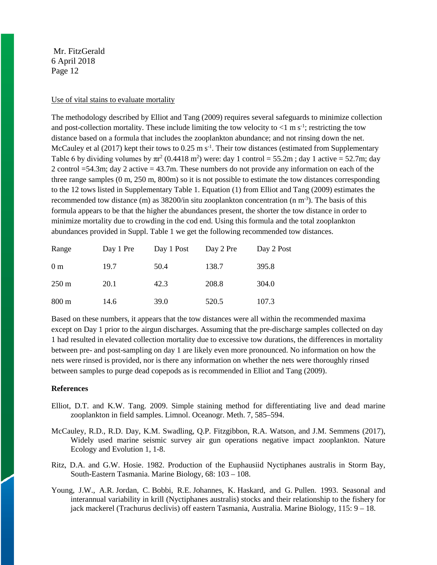#### Use of vital stains to evaluate mortality

The methodology described by Elliot and Tang (2009) requires several safeguards to minimize collection and post-collection mortality. These include limiting the tow velocity to  $\langle 1 \text{ m s}^{-1} \rangle$ ; restricting the tow distance based on a formula that includes the zooplankton abundance; and not rinsing down the net. McCauley et al  $(2017)$  kept their tows to  $0.25 \text{ m s}^{-1}$ . Their tow distances (estimated from Supplementary Table 6 by dividing volumes by  $\pi r^2$  (0.4418 m<sup>2</sup>) were: day 1 control = 55.2m; day 1 active = 52.7m; day 2 control =54.3m; day 2 active = 43.7m. These numbers do not provide any information on each of the three range samples (0 m, 250 m, 800m) so it is not possible to estimate the tow distances corresponding to the 12 tows listed in Supplementary Table 1. Equation (1) from Elliot and Tang (2009) estimates the recommended tow distance (m) as 38200/in situ zooplankton concentration (n m<sup>-3</sup>). The basis of this formula appears to be that the higher the abundances present, the shorter the tow distance in order to minimize mortality due to crowding in the cod end. Using this formula and the total zooplankton abundances provided in Suppl. Table 1 we get the following recommended tow distances.

| Range           | Day 1 Pre | Day 1 Post | Day 2 Pre | Day 2 Post |
|-----------------|-----------|------------|-----------|------------|
| 0 <sub>m</sub>  | 19.7      | 50.4       | 138.7     | 395.8      |
| $250 \text{ m}$ | 20.1      | 42.3       | 208.8     | 304.0      |
| $800 \text{ m}$ | 14.6      | 39.0       | 520.5     | 107.3      |

Based on these numbers, it appears that the tow distances were all within the recommended maxima except on Day 1 prior to the airgun discharges. Assuming that the pre-discharge samples collected on day 1 had resulted in elevated collection mortality due to excessive tow durations, the differences in mortality between pre- and post-sampling on day 1 are likely even more pronounced. No information on how the nets were rinsed is provided, nor is there any information on whether the nets were thoroughly rinsed between samples to purge dead copepods as is recommended in Elliot and Tang (2009).

#### **References**

- Elliot, D.T. and K.W. Tang. 2009. Simple staining method for differentiating live and dead marine zooplankton in field samples. Limnol. Oceanogr. Meth. 7, 585–594.
- McCauley, R.D., R.D. Day, K.M. Swadling, Q.P. Fitzgibbon, R.A. Watson, and J.M. Semmens (2017), Widely used marine seismic survey air gun operations negative impact zooplankton. Nature Ecology and Evolution 1, 1-8.
- Ritz, D.A. and G.W. Hosie. 1982. Production of the Euphausiid Nyctiphanes australis in Storm Bay, South-Eastern Tasmania. Marine Biology, 68: 103 – 108.
- Young, J.W., A.R. Jordan, C. Bobbi, R.E. Johannes, K. Haskard, and G. Pullen. 1993. Seasonal and interannual variability in krill (Nyctiphanes australis) stocks and their relationship to the fishery for jack mackerel (Trachurus declivis) off eastern Tasmania, Australia. Marine Biology, 115: 9 – 18.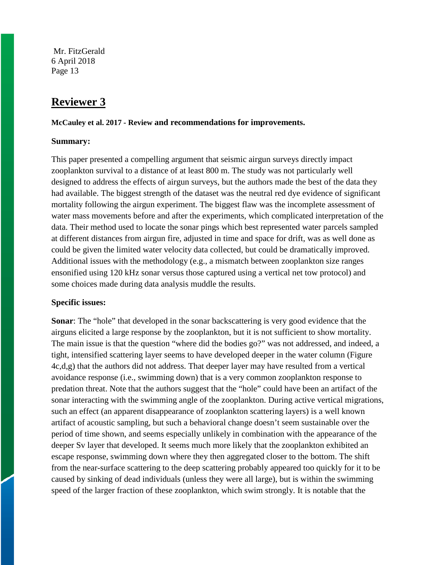# **Reviewer 3**

**McCauley et al. 2017 - Review and recommendations for improvements.**

# **Summary:**

This paper presented a compelling argument that seismic airgun surveys directly impact zooplankton survival to a distance of at least 800 m. The study was not particularly well designed to address the effects of airgun surveys, but the authors made the best of the data they had available. The biggest strength of the dataset was the neutral red dye evidence of significant mortality following the airgun experiment. The biggest flaw was the incomplete assessment of water mass movements before and after the experiments, which complicated interpretation of the data. Their method used to locate the sonar pings which best represented water parcels sampled at different distances from airgun fire, adjusted in time and space for drift, was as well done as could be given the limited water velocity data collected, but could be dramatically improved. Additional issues with the methodology (e.g., a mismatch between zooplankton size ranges ensonified using 120 kHz sonar versus those captured using a vertical net tow protocol) and some choices made during data analysis muddle the results.

## **Specific issues:**

**Sonar:** The "hole" that developed in the sonar backscattering is very good evidence that the airguns elicited a large response by the zooplankton, but it is not sufficient to show mortality. The main issue is that the question "where did the bodies go?" was not addressed, and indeed, a tight, intensified scattering layer seems to have developed deeper in the water column (Figure 4c,d,g) that the authors did not address. That deeper layer may have resulted from a vertical avoidance response (i.e., swimming down) that is a very common zooplankton response to predation threat. Note that the authors suggest that the "hole" could have been an artifact of the sonar interacting with the swimming angle of the zooplankton. During active vertical migrations, such an effect (an apparent disappearance of zooplankton scattering layers) is a well known artifact of acoustic sampling, but such a behavioral change doesn't seem sustainable over the period of time shown, and seems especially unlikely in combination with the appearance of the deeper Sv layer that developed. It seems much more likely that the zooplankton exhibited an escape response, swimming down where they then aggregated closer to the bottom. The shift from the near-surface scattering to the deep scattering probably appeared too quickly for it to be caused by sinking of dead individuals (unless they were all large), but is within the swimming speed of the larger fraction of these zooplankton, which swim strongly. It is notable that the